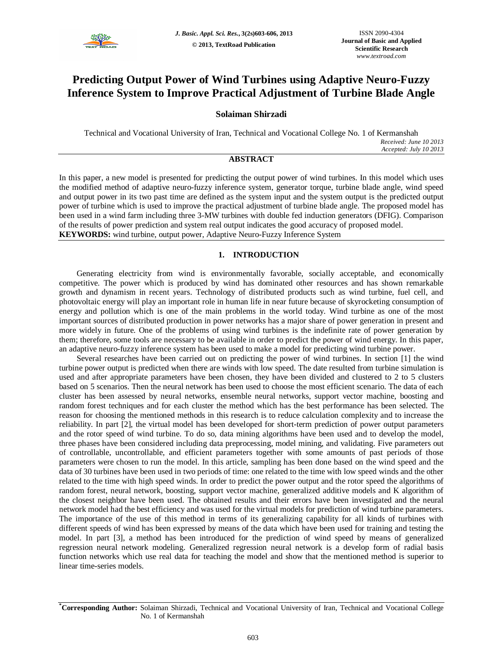

# **Predicting Output Power of Wind Turbines using Adaptive Neuro-Fuzzy Inference System to Improve Practical Adjustment of Turbine Blade Angle**

# **Solaiman Shirzadi**

Technical and Vocational University of Iran, Technical and Vocational College No. 1 of Kermanshah *Received: June 10 2013 Accepted: July 10 2013*

# **ABSTRACT**

In this paper, a new model is presented for predicting the output power of wind turbines. In this model which uses the modified method of adaptive neuro-fuzzy inference system, generator torque, turbine blade angle, wind speed and output power in its two past time are defined as the system input and the system output is the predicted output power of turbine which is used to improve the practical adjustment of turbine blade angle. The proposed model has been used in a wind farm including three 3-MW turbines with double fed induction generators (DFIG). Comparison of the results of power prediction and system real output indicates the good accuracy of proposed model. **KEYWORDS:** wind turbine, output power, Adaptive Neuro-Fuzzy Inference System

# **1. INTRODUCTION**

Generating electricity from wind is environmentally favorable, socially acceptable, and economically competitive. The power which is produced by wind has dominated other resources and has shown remarkable growth and dynamism in recent years. Technology of distributed products such as wind turbine, fuel cell, and photovoltaic energy will play an important role in human life in near future because of skyrocketing consumption of energy and pollution which is one of the main problems in the world today. Wind turbine as one of the most important sources of distributed production in power networks has a major share of power generation in present and more widely in future. One of the problems of using wind turbines is the indefinite rate of power generation by them; therefore, some tools are necessary to be available in order to predict the power of wind energy. In this paper, an adaptive neuro-fuzzy inference system has been used to make a model for predicting wind turbine power.

Several researches have been carried out on predicting the power of wind turbines. In section [1] the wind turbine power output is predicted when there are winds with low speed. The date resulted from turbine simulation is used and after appropriate parameters have been chosen, they have been divided and clustered to 2 to 5 clusters based on 5 scenarios. Then the neural network has been used to choose the most efficient scenario. The data of each cluster has been assessed by neural networks, ensemble neural networks, support vector machine, boosting and random forest techniques and for each cluster the method which has the best performance has been selected. The reason for choosing the mentioned methods in this research is to reduce calculation complexity and to increase the reliability. In part [2], the virtual model has been developed for short-term prediction of power output parameters and the rotor speed of wind turbine. To do so, data mining algorithms have been used and to develop the model, three phases have been considered including data preprocessing, model mining, and validating. Five parameters out of controllable, uncontrollable, and efficient parameters together with some amounts of past periods of those parameters were chosen to run the model. In this article, sampling has been done based on the wind speed and the data of 30 turbines have been used in two periods of time: one related to the time with low speed winds and the other related to the time with high speed winds. In order to predict the power output and the rotor speed the algorithms of random forest, neural network, boosting, support vector machine, generalized additive models and K algorithm of the closest neighbor have been used. The obtained results and their errors have been investigated and the neural network model had the best efficiency and was used for the virtual models for prediction of wind turbine parameters. The importance of the use of this method in terms of its generalizing capability for all kinds of turbines with different speeds of wind has been expressed by means of the data which have been used for training and testing the model. In part [3], a method has been introduced for the prediction of wind speed by means of generalized regression neural network modeling. Generalized regression neural network is a develop form of radial basis function networks which use real data for teaching the model and show that the mentioned method is superior to linear time-series models.

**<sup>\*</sup>Corresponding Author:** Solaiman Shirzadi, Technical and Vocational University of Iran, Technical and Vocational College No. 1 of Kermanshah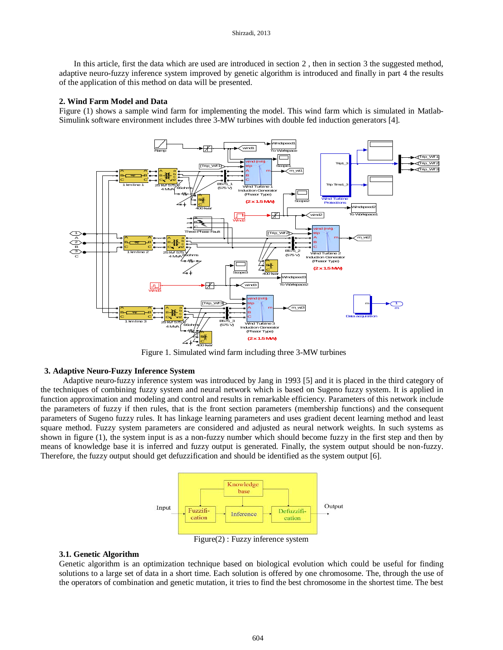In this article, first the data which are used are introduced in section 2 , then in section 3 the suggested method, adaptive neuro-fuzzy inference system improved by genetic algorithm is introduced and finally in part 4 the results of the application of this method on data will be presented.

## **2. Wind Farm Model and Data**

Figure (1) shows a sample wind farm for implementing the model. This wind farm which is simulated in Matlab-Simulink software environment includes three 3-MW turbines with double fed induction generators [4].



Figure 1. Simulated wind farm including three 3-MW turbines

# **3. Adaptive Neuro-Fuzzy Inference System**

Adaptive neuro-fuzzy inference system was introduced by Jang in 1993 [5] and it is placed in the third category of the techniques of combining fuzzy system and neural network which is based on Sugeno fuzzy system. It is applied in function approximation and modeling and control and results in remarkable efficiency. Parameters of this network include the parameters of fuzzy if then rules, that is the front section parameters (membership functions) and the consequent parameters of Sugeno fuzzy rules. It has linkage learning parameters and uses gradient decent learning method and least square method. Fuzzy system parameters are considered and adjusted as neural network weights. In such systems as shown in figure (1), the system input is as a non-fuzzy number which should become fuzzy in the first step and then by means of knowledge base it is inferred and fuzzy output is generated. Finally, the system output should be non-fuzzy. Therefore, the fuzzy output should get defuzzification and should be identified as the system output [6].



Figure(2) : Fuzzy inference system

#### **3.1. Genetic Algorithm**

Genetic algorithm is an optimization technique based on biological evolution which could be useful for finding solutions to a large set of data in a short time. Each solution is offered by one chromosome. The, through the use of the operators of combination and genetic mutation, it tries to find the best chromosome in the shortest time. The best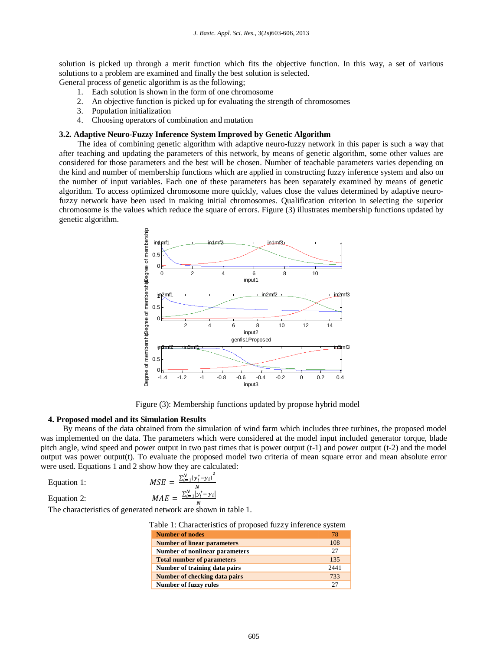solution is picked up through a merit function which fits the objective function. In this way, a set of various solutions to a problem are examined and finally the best solution is selected.

General process of genetic algorithm is as the following;

- 1. Each solution is shown in the form of one chromosome
- 2. An objective function is picked up for evaluating the strength of chromosomes
- 3. Population initialization
- 4. Choosing operators of combination and mutation

# **3.2. Adaptive Neuro-Fuzzy Inference System Improved by Genetic Algorithm**

The idea of combining genetic algorithm with adaptive neuro-fuzzy network in this paper is such a way that after teaching and updating the parameters of this network, by means of genetic algorithm, some other values are considered for those parameters and the best will be chosen. Number of teachable parameters varies depending on the kind and number of membership functions which are applied in constructing fuzzy inference system and also on the number of input variables. Each one of these parameters has been separately examined by means of genetic algorithm. To access optimized chromosome more quickly, values close the values determined by adaptive neurofuzzy network have been used in making initial chromosomes. Qualification criterion in selecting the superior chromosome is the values which reduce the square of errors. Figure (3) illustrates membership functions updated by genetic algorithm.



Figure (3): Membership functions updated by propose hybrid model

#### **4. Proposed model and its Simulation Results**

By means of the data obtained from the simulation of wind farm which includes three turbines, the proposed model was implemented on the data. The parameters which were considered at the model input included generator torque, blade pitch angle, wind speed and power output in two past times that is power output (t-1) and power output (t-2) and the model output was power output(t). To evaluate the proposed model two criteria of mean square error and mean absolute error were used. Equations 1 and 2 show how they are calculated:

| Equation 1: | $MSE = \frac{\sum_{i=1}^{N} (y_i^* - y_i)^2}{n}$ |  |
|-------------|--------------------------------------------------|--|
|             |                                                  |  |

Equation 2:

$$
MAE = \frac{\sum_{i=1}^{N} |y_i^* - y_i|}{N}
$$

The characteristics of generated network are shown in table 1.

| Table 1: Characteristics of proposed fuzzy inference system |  |
|-------------------------------------------------------------|--|
|-------------------------------------------------------------|--|

| <b>Number of nodes</b>                | 78   |
|---------------------------------------|------|
| <b>Number of linear parameters</b>    | 108  |
| <b>Number of nonlinear parameters</b> | 27   |
| <b>Total number of parameters</b>     | 135  |
| Number of training data pairs         | 2441 |
| Number of checking data pairs         | 733  |
| <b>Number of fuzzy rules</b>          |      |